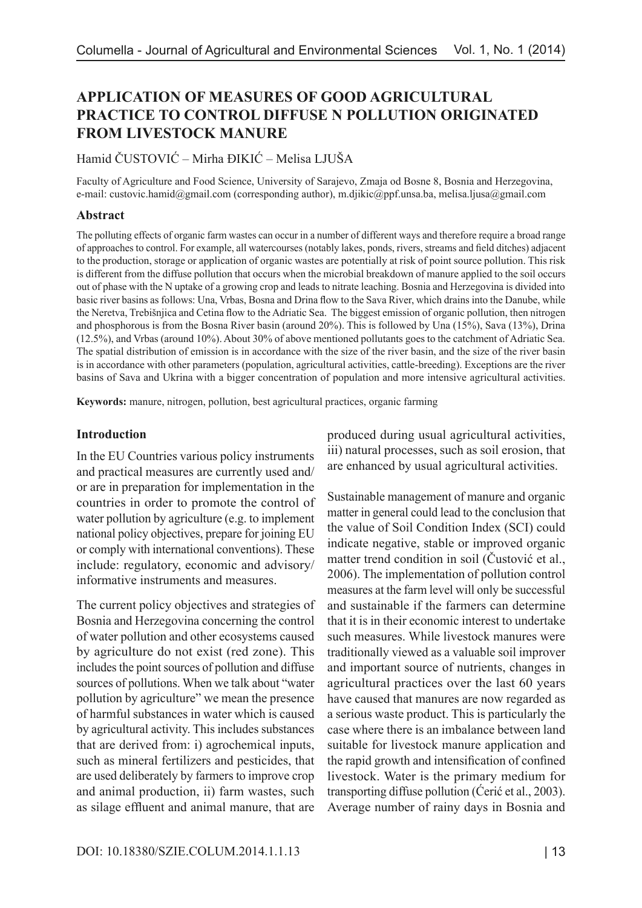# **APPLICATION OF MEASURES OF GOOD AGRICULTURAL PRACTICE TO CONTROL DIFFUSE N POLLUTION ORIGINATED FROM LIVESTOCK MANURE**

### Hamid ČUSTOVIĆ – Mirha ĐIKIĆ – Melisa LJUŠA

Faculty of Agriculture and Food Science, University of Sarajevo, Zmaja od Bosne 8, Bosnia and Herzegovina, e-mail: custovic.hamid@gmail.com (corresponding author), m.djikic@ppf.unsa.ba, melisa.ljusa@gmail.com

#### **Abstract**

The polluting effects of organic farm wastes can occur in a number of different ways and therefore require a broad range of approaches to control. For example, all watercourses (notably lakes, ponds, rivers, streams and field ditches) adjacent to the production, storage or application of organic wastes are potentially at risk of point source pollution. This risk is different from the diffuse pollution that occurs when the microbial breakdown of manure applied to the soil occurs out of phase with the N uptake of a growing crop and leads to nitrate leaching. Bosnia and Herzegovina is divided into basic river basins as follows: Una, Vrbas, Bosna and Drina flow to the Sava River, which drains into the Danube, while the Neretva, Trebišnjica and Cetina flow to the Adriatic Sea. The biggest emission of organic pollution, then nitrogen and phosphorous is from the Bosna River basin (around 20%). This is followed by Una (15%), Sava (13%), Drina (12.5%), and Vrbas (around 10%). About 30% of above mentioned pollutants goes to the catchment of Adriatic Sea. The spatial distribution of emission is in accordance with the size of the river basin, and the size of the river basin is in accordance with other parameters (population, agricultural activities, cattle-breeding). Exceptions are the river basins of Sava and Ukrina with a bigger concentration of population and more intensive agricultural activities.

**Keywords:** manure, nitrogen, pollution, best agricultural practices, organic farming

#### **Introduction**

In the EU Countries various policy instruments and practical measures are currently used and/ or are in preparation for implementation in the countries in order to promote the control of water pollution by agriculture (e.g. to implement national policy objectives, prepare for joining EU or comply with international conventions). These include: regulatory, economic and advisory/ informative instruments and measures.

The current policy objectives and strategies of Bosnia and Herzegovina concerning the control of water pollution and other ecosystems caused by agriculture do not exist (red zone). This includes the point sources of pollution and diffuse sources of pollutions. When we talk about "water pollution by agriculture" we mean the presence of harmful substances in water which is caused by agricultural activity. This includes substances that are derived from: i) agrochemical inputs, such as mineral fertilizers and pesticides, that are used deliberately by farmers to improve crop and animal production, ii) farm wastes, such as silage effluent and animal manure, that are

produced during usual agricultural activities, iii) natural processes, such as soil erosion, that are enhanced by usual agricultural activities.

Sustainable management of manure and organic matter in general could lead to the conclusion that the value of Soil Condition Index (SCI) could indicate negative, stable or improved organic matter trend condition in soil (Čustović et al., 2006). The implementation of pollution control measures at the farm level will only be successful and sustainable if the farmers can determine that it is in their economic interest to undertake such measures. While livestock manures were traditionally viewed as a valuable soil improver and important source of nutrients, changes in agricultural practices over the last 60 years have caused that manures are now regarded as a serious waste product. This is particularly the case where there is an imbalance between land suitable for livestock manure application and the rapid growth and intensification of confined livestock. Water is the primary medium for transporting diffuse pollution (Ćerić et al., 2003). Average number of rainy days in Bosnia and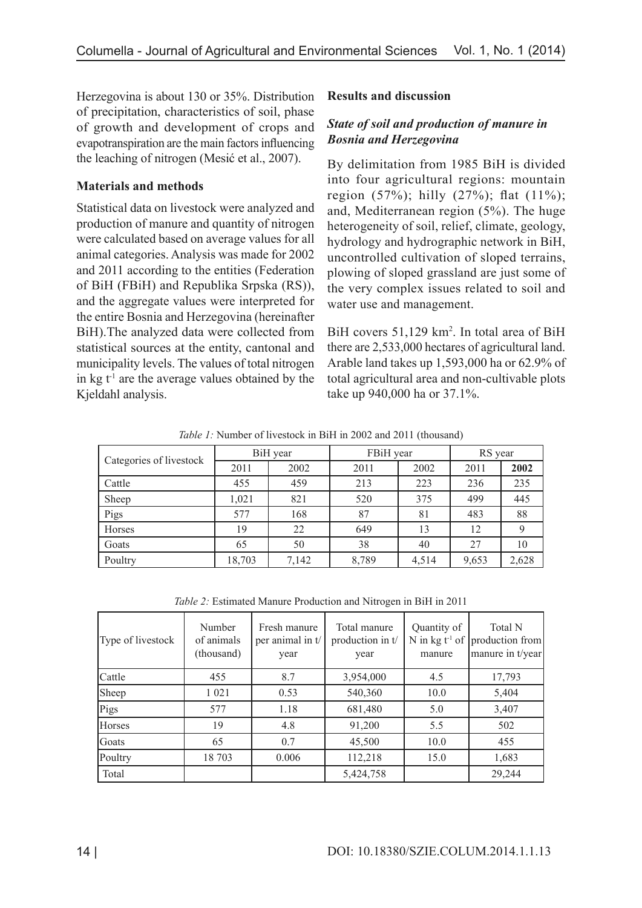Herzegovina is about 130 or 35%. Distribution of precipitation, characteristics of soil, phase of growth and development of crops and evapotranspiration are the main factors influencing the leaching of nitrogen (Mesić et al., 2007).

# **Materials and methods**

Statistical data on livestock were analyzed and production of manure and quantity of nitrogen were calculated based on average values for all animal categories. Analysis was made for 2002 and 2011 according to the entities (Federation of BiH (FBiH) and Republika Srpska (RS)), and the aggregate values were interpreted for the entire Bosnia and Herzegovina (hereinafter BiH).The analyzed data were collected from statistical sources at the entity, cantonal and municipality levels. The values of total nitrogen in kg  $t<sup>1</sup>$  are the average values obtained by the Kjeldahl analysis.

# **Results and discussion**

# *State of soil and production of manure in Bosnia and Herzegovina*

By delimitation from 1985 BiH is divided into four agricultural regions: mountain region  $(57\%)$ ; hilly  $(27\%)$ ; flat  $(11\%)$ ; and, Mediterranean region (5%). The huge heterogeneity of soil, relief, climate, geology, hydrology and hydrographic network in BiH, uncontrolled cultivation of sloped terrains, plowing of sloped grassland are just some of the very complex issues related to soil and water use and management.

BiH covers 51,129 km<sup>2</sup>. In total area of BiH there are 2,533,000 hectares of agricultural land. Arable land takes up 1,593,000 ha or 62.9% of total agricultural area and non-cultivable plots take up 940,000 ha or 37.1%.

*Table 1:* Number of livestock in BiH in 2002 and 2011 (thousand)

| Categories of livestock | BiH year |       | FBiH year |       | RS year |       |
|-------------------------|----------|-------|-----------|-------|---------|-------|
|                         | 2011     | 2002  | 2011      | 2002  | 2011    | 2002  |
| Cattle                  | 455      | 459   | 213       | 223   | 236     | 235   |
| Sheep                   | 1,021    | 821   | 520       | 375   | 499     | 445   |
| Pigs                    | 577      | 168   | 87        | 81    | 483     | 88    |
| Horses                  | 19       | 22    | 649       | 13    | 12      |       |
| Goats                   | 65       | 50    | 38        | 40    | 27      | 10    |
| Poultry                 | 18,703   | 7,142 | 8,789     | 4,514 | 9,653   | 2,628 |

*Table 2:* Estimated Manure Production and Nitrogen in BiH in 2011

| Type of livestock | Number<br>of animals<br>(thousand) | Fresh manure<br>per animal in t/<br>year | Total manure<br>production in t/<br>year | Quantity of<br>N in kg $t^1$ of<br>manure | Total N<br>production from<br>manure in t/year |
|-------------------|------------------------------------|------------------------------------------|------------------------------------------|-------------------------------------------|------------------------------------------------|
| Cattle            | 455                                | 8.7                                      | 3,954,000                                | 4.5                                       | 17,793                                         |
| Sheep             | 1 0 2 1                            | 0.53                                     | 540,360                                  | 10.0                                      | 5,404                                          |
| Pigs              | 577                                | 1.18                                     | 681,480                                  | 5.0                                       | 3,407                                          |
| Horses            | 19                                 | 4.8                                      | 91,200                                   | 5.5                                       | 502                                            |
| Goats             | 65                                 | 0.7                                      | 45,500                                   | 10.0                                      | 455                                            |
| Poultry           | 18 703                             | 0.006                                    | 112,218                                  | 15.0                                      | 1,683                                          |
| Total             |                                    |                                          | 5,424,758                                |                                           | 29,244                                         |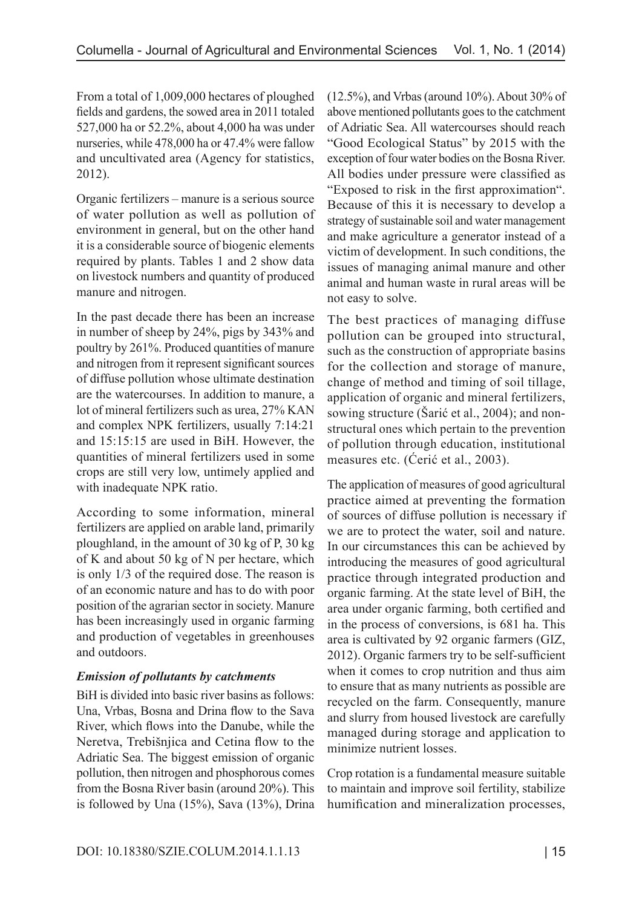From a total of 1,009,000 hectares of ploughed fields and gardens, the sowed area in 2011 totaled 527,000 ha or 52.2%, about 4,000 ha was under nurseries, while 478,000 ha or 47.4% were fallow and uncultivated area (Agency for statistics, 2012).

Organic fertilizers – manure is a serious source of water pollution as well as pollution of environment in general, but on the other hand it is a considerable source of biogenic elements required by plants. Tables 1 and 2 show data on livestock numbers and quantity of produced manure and nitrogen.

In the past decade there has been an increase in number of sheep by 24%, pigs by 343% and poultry by 261%. Produced quantities of manure and nitrogen from it represent significant sources of diffuse pollution whose ultimate destination are the watercourses. In addition to manure, a lot of mineral fertilizers such as urea, 27% KAN and complex NPK fertilizers, usually 7:14:21 and 15:15:15 are used in BiH. However, the quantities of mineral fertilizers used in some crops are still very low, untimely applied and with inadequate NPK ratio.

According to some information, mineral fertilizers are applied on arable land, primarily ploughland, in the amount of 30 kg of P, 30 kg of K and about 50 kg of N per hectare, which is only 1/3 of the required dose. The reason is of an economic nature and has to do with poor position of the agrarian sector in society. Manure has been increasingly used in organic farming and production of vegetables in greenhouses and outdoors.

# *Emission of pollutants by catchments*

BiH is divided into basic river basins as follows: Una, Vrbas, Bosna and Drina flow to the Sava River, which flows into the Danube, while the Neretva, Trebišnjica and Cetina flow to the Adriatic Sea. The biggest emission of organic pollution, then nitrogen and phosphorous comes from the Bosna River basin (around 20%). This is followed by Una (15%), Sava (13%), Drina

(12.5%), and Vrbas (around 10%). About 30% of above mentioned pollutants goes to the catchment of Adriatic Sea. All watercourses should reach "Good Ecological Status" by 2015 with the exception of four water bodies on the Bosna River. All bodies under pressure were classified as "Exposed to risk in the first approximation". Because of this it is necessary to develop a strategy of sustainable soil and water management and make agriculture a generator instead of a victim of development. In such conditions, the issues of managing animal manure and other animal and human waste in rural areas will be not easy to solve.

The best practices of managing diffuse pollution can be grouped into structural, such as the construction of appropriate basins for the collection and storage of manure, change of method and timing of soil tillage, application of organic and mineral fertilizers, sowing structure (Šarić et al., 2004); and nonstructural ones which pertain to the prevention of pollution through education, institutional measures etc. (Ćerić et al., 2003).

The application of measures of good agricultural practice aimed at preventing the formation of sources of diffuse pollution is necessary if we are to protect the water, soil and nature. In our circumstances this can be achieved by introducing the measures of good agricultural practice through integrated production and organic farming. At the state level of BiH, the area under organic farming, both certified and in the process of conversions, is 681 ha. This area is cultivated by 92 organic farmers (GIZ, 2012). Organic farmers try to be self-sufficient when it comes to crop nutrition and thus aim to ensure that as many nutrients as possible are recycled on the farm. Consequently, manure and slurry from housed livestock are carefully managed during storage and application to minimize nutrient losses.

Crop rotation is a fundamental measure suitable to maintain and improve soil fertility, stabilize humification and mineralization processes,